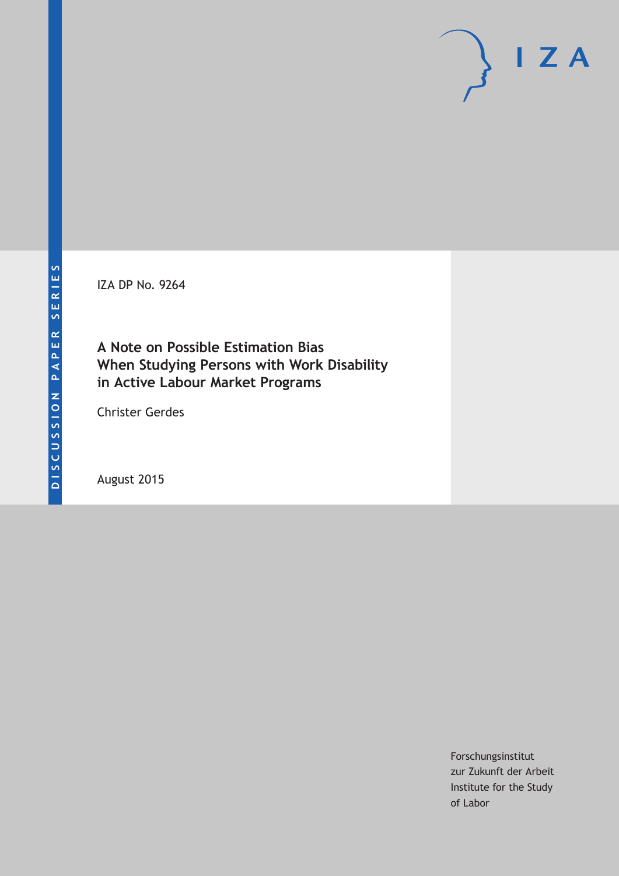IZA DP No. 9264

**A Note on Possible Estimation Bias When Studying Persons with Work Disability in Active Labour Market Programs**

Christer Gerdes

August 2015

Forschungsinstitut zur Zukunft der Arbeit Institute for the Study of Labor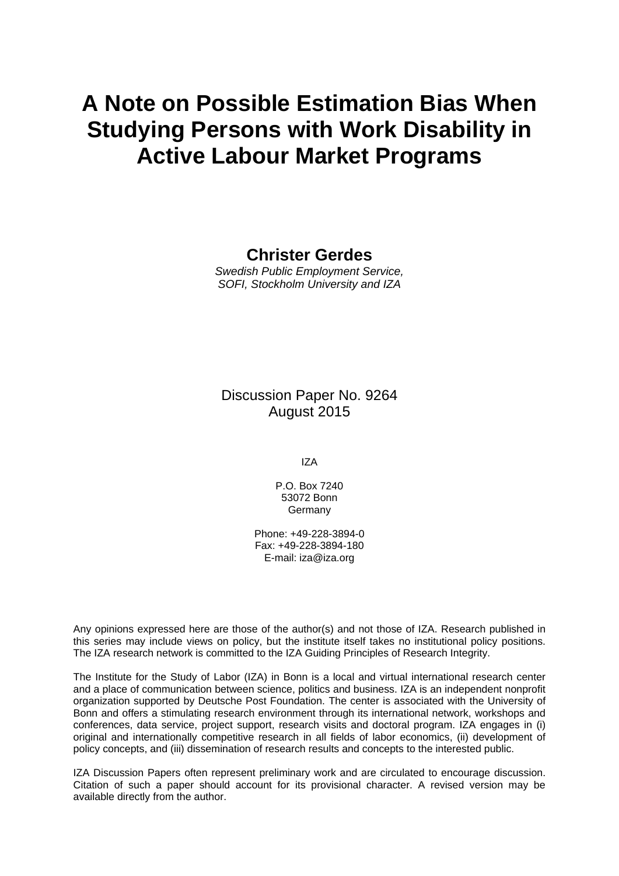# **A Note on Possible Estimation Bias When Studying Persons with Work Disability in Active Labour Market Programs**

### **Christer Gerdes**

*Swedish Public Employment Service, SOFI, Stockholm University and IZA* 

Discussion Paper No. 9264 August 2015

IZA

P.O. Box 7240 53072 Bonn Germany

Phone: +49-228-3894-0 Fax: +49-228-3894-180 E-mail: iza@iza.org

Any opinions expressed here are those of the author(s) and not those of IZA. Research published in this series may include views on policy, but the institute itself takes no institutional policy positions. The IZA research network is committed to the IZA Guiding Principles of Research Integrity.

The Institute for the Study of Labor (IZA) in Bonn is a local and virtual international research center and a place of communication between science, politics and business. IZA is an independent nonprofit organization supported by Deutsche Post Foundation. The center is associated with the University of Bonn and offers a stimulating research environment through its international network, workshops and conferences, data service, project support, research visits and doctoral program. IZA engages in (i) original and internationally competitive research in all fields of labor economics, (ii) development of policy concepts, and (iii) dissemination of research results and concepts to the interested public.

IZA Discussion Papers often represent preliminary work and are circulated to encourage discussion. Citation of such a paper should account for its provisional character. A revised version may be available directly from the author.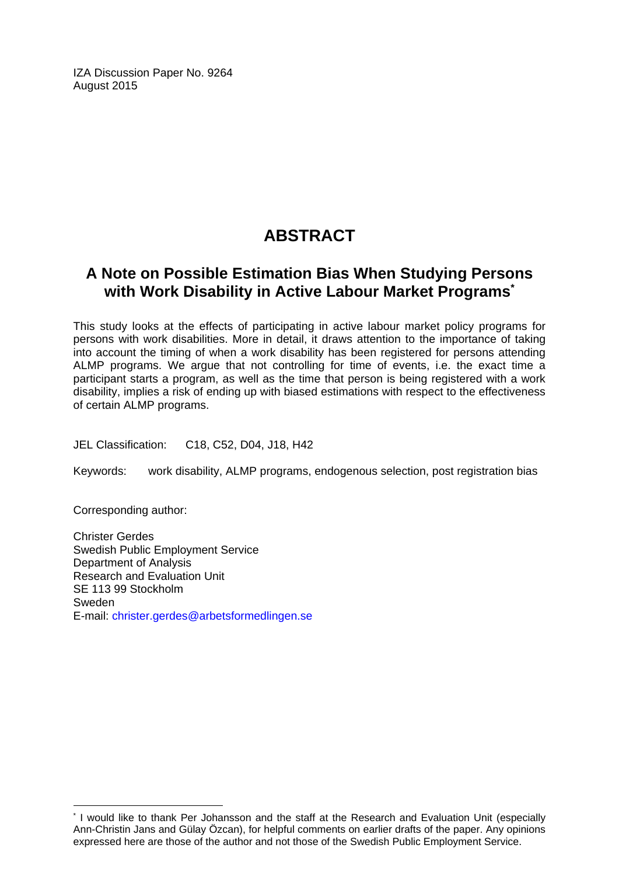IZA Discussion Paper No. 9264 August 2015

# **ABSTRACT**

# **A Note on Possible Estimation Bias When Studying Persons with Work Disability in Active Labour Market Programs\***

This study looks at the effects of participating in active labour market policy programs for persons with work disabilities. More in detail, it draws attention to the importance of taking into account the timing of when a work disability has been registered for persons attending ALMP programs. We argue that not controlling for time of events, i.e. the exact time a participant starts a program, as well as the time that person is being registered with a work disability, implies a risk of ending up with biased estimations with respect to the effectiveness of certain ALMP programs.

JEL Classification: C18, C52, D04, J18, H42

Keywords: work disability, ALMP programs, endogenous selection, post registration bias

Corresponding author:

 $\overline{a}$ 

Christer Gerdes Swedish Public Employment Service Department of Analysis Research and Evaluation Unit SE 113 99 Stockholm Sweden E-mail: christer.gerdes@arbetsformedlingen.se

<sup>\*</sup> I would like to thank Per Johansson and the staff at the Research and Evaluation Unit (especially Ann-Christin Jans and Gülay Özcan), for helpful comments on earlier drafts of the paper. Any opinions expressed here are those of the author and not those of the Swedish Public Employment Service.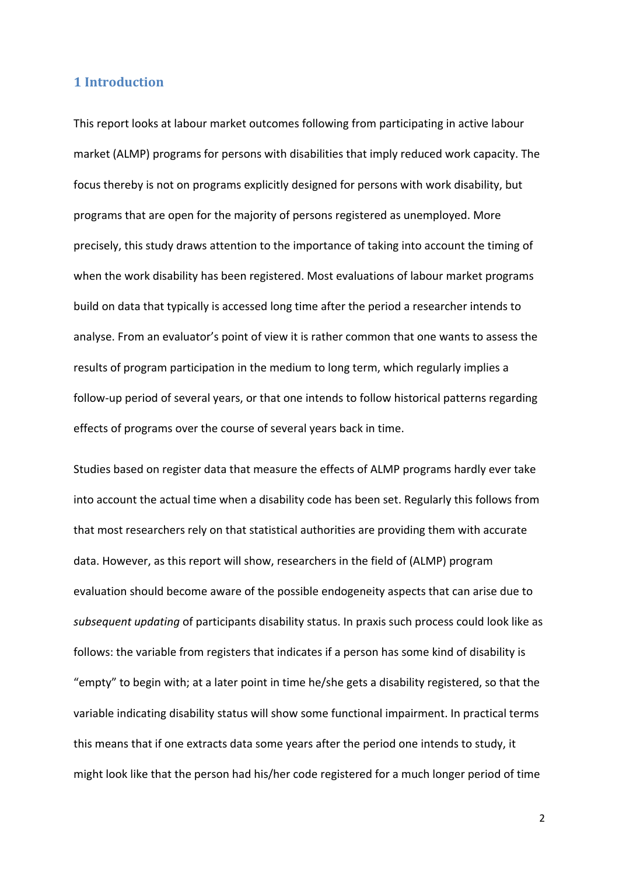#### 1 **Introduction**

This report looks at labour market outcomes following from participating in active labour market (ALMP) programs for persons with disabilities that imply reduced work capacity. The focus thereby is not on programs explicitly designed for persons with work disability, but programs that are open for the majority of persons registered as unemployed. More precisely, this study draws attention to the importance of taking into account the timing of when the work disability has been registered. Most evaluations of labour market programs build on data that typically is accessed long time after the period a researcher intends to analyse. From an evaluator's point of view it is rather common that one wants to assess the results of program participation in the medium to long term, which regularly implies a follow-up period of several years, or that one intends to follow historical patterns regarding effects of programs over the course of several years back in time.

Studies based on register data that measure the effects of ALMP programs hardly ever take into account the actual time when a disability code has been set. Regularly this follows from that most researchers rely on that statistical authorities are providing them with accurate data. However, as this report will show, researchers in the field of (ALMP) program evaluation should become aware of the possible endogeneity aspects that can arise due to *subsequent updating* of participants disability status. In praxis such process could look like as follows: the variable from registers that indicates if a person has some kind of disability is "empty" to begin with; at a later point in time he/she gets a disability registered, so that the variable indicating disability status will show some functional impairment. In practical terms this means that if one extracts data some years after the period one intends to study, it might look like that the person had his/her code registered for a much longer period of time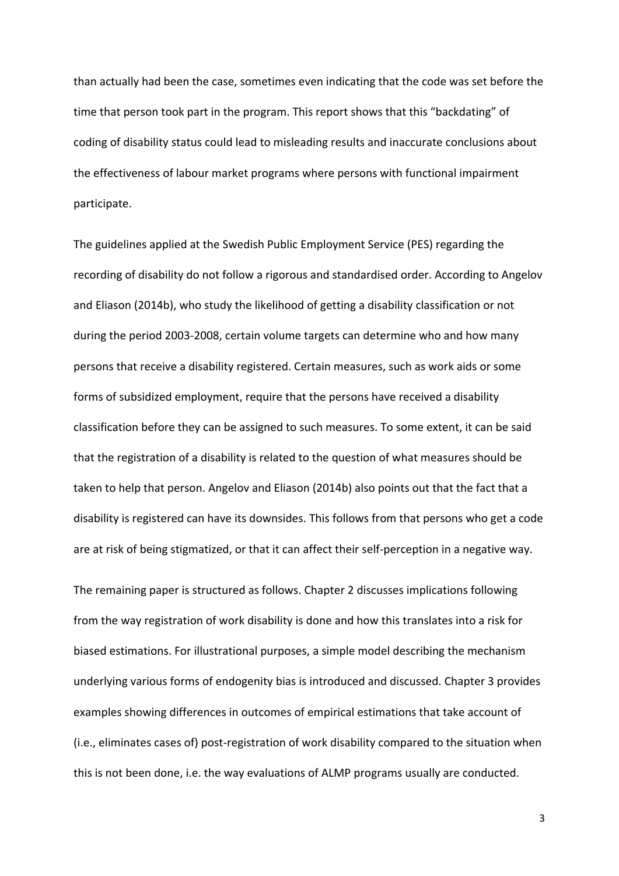than actually had been the case, sometimes even indicating that the code was set before the time that person took part in the program. This report shows that this "backdating" of coding of disability status could lead to misleading results and inaccurate conclusions about the effectiveness of labour market programs where persons with functional impairment participate.

The guidelines applied at the Swedish Public Employment Service (PES) regarding the recording of disability do not follow a rigorous and standardised order. According to Angelov and Eliason (2014b), who study the likelihood of getting a disability classification or not during the period 2003‐2008, certain volume targets can determine who and how many persons that receive a disability registered. Certain measures, such as work aids or some forms of subsidized employment, require that the persons have received a disability classification before they can be assigned to such measures. To some extent, it can be said that the registration of a disability is related to the question of what measures should be taken to help that person. Angelov and Eliason (2014b) also points out that the fact that a disability is registered can have its downsides. This follows from that persons who get a code are at risk of being stigmatized, or that it can affect their self‐perception in a negative way.

The remaining paper is structured as follows. Chapter 2 discusses implications following from the way registration of work disability is done and how this translates into a risk for biased estimations. For illustrational purposes, a simple model describing the mechanism underlying various forms of endogenity bias is introduced and discussed. Chapter 3 provides examples showing differences in outcomes of empirical estimations that take account of (i.e., eliminates cases of) post‐registration of work disability compared to the situation when this is not been done, i.e. the way evaluations of ALMP programs usually are conducted.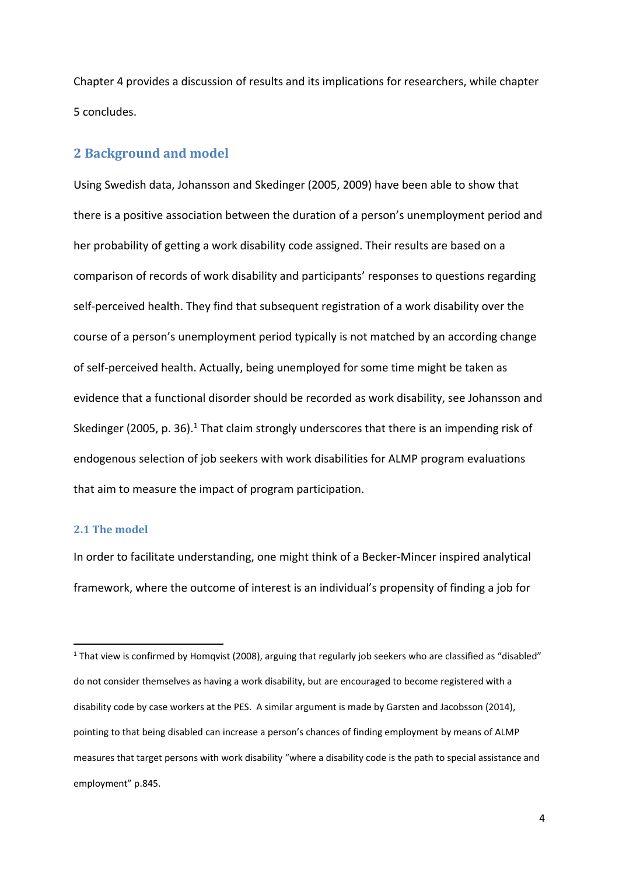Chapter 4 provides a discussion of results and its implications for researchers, while chapter 5 concludes.

#### **2 Background and model**

Using Swedish data, Johansson and Skedinger (2005, 2009) have been able to show that there is a positive association between the duration of a person's unemployment period and her probability of getting a work disability code assigned. Their results are based on a comparison of records of work disability and participants' responses to questions regarding self‐perceived health. They find that subsequent registration of a work disability over the course of a person's unemployment period typically is not matched by an according change of self‐perceived health. Actually, being unemployed for some time might be taken as evidence that a functional disorder should be recorded as work disability, see Johansson and Skedinger (2005, p. 36).<sup>1</sup> That claim strongly underscores that there is an impending risk of endogenous selection of job seekers with work disabilities for ALMP program evaluations that aim to measure the impact of program participation.

#### **2.1 The model**

In order to facilitate understanding, one might think of a Becker‐Mincer inspired analytical framework, where the outcome of interest is an individual's propensity of finding a job for

 $1$  That view is confirmed by Homqvist (2008), arguing that regularly job seekers who are classified as "disabled" do not consider themselves as having a work disability, but are encouraged to become registered with a disability code by case workers at the PES. A similar argument is made by Garsten and Jacobsson (2014), pointing to that being disabled can increase a person's chances of finding employment by means of ALMP measures that target persons with work disability "where a disability code is the path to special assistance and employment" p.845.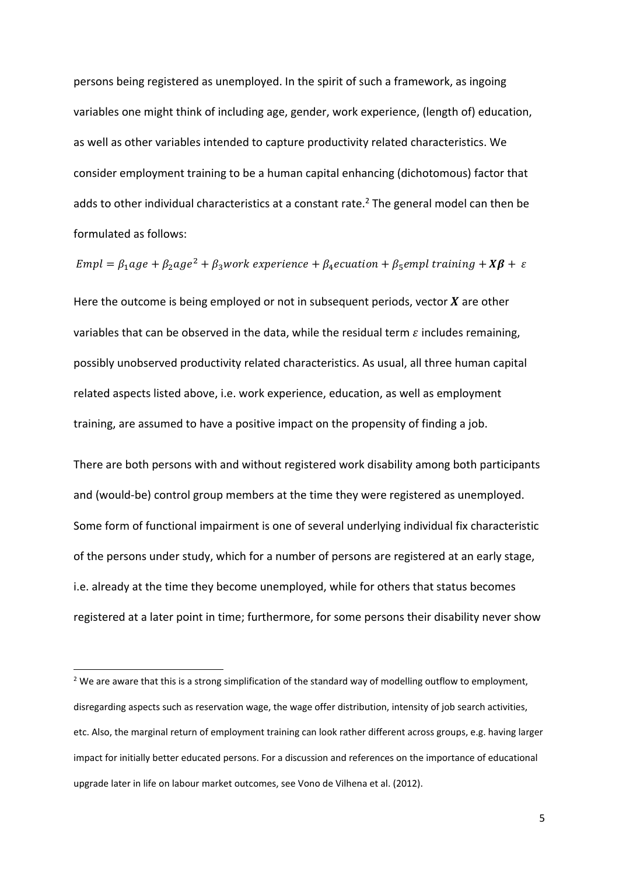persons being registered as unemployed. In the spirit of such a framework, as ingoing variables one might think of including age, gender, work experience, (length of) education, as well as other variables intended to capture productivity related characteristics. We consider employment training to be a human capital enhancing (dichotomous) factor that adds to other individual characteristics at a constant rate.<sup>2</sup> The general model can then be formulated as follows:

 $Empl = \beta_1 age + \beta_2 age^2 + \beta_3 work experience + \beta_4ecuation + \beta_5empl training + X\beta + \varepsilon$ 

Here the outcome is being employed or not in subsequent periods, vector  $X$  are other variables that can be observed in the data, while the residual term  $\varepsilon$  includes remaining, possibly unobserved productivity related characteristics. As usual, all three human capital related aspects listed above, i.e. work experience, education, as well as employment training, are assumed to have a positive impact on the propensity of finding a job.

There are both persons with and without registered work disability among both participants and (would‐be) control group members at the time they were registered as unemployed. Some form of functional impairment is one of several underlying individual fix characteristic of the persons under study, which for a number of persons are registered at an early stage, i.e. already at the time they become unemployed, while for others that status becomes registered at a later point in time; furthermore, for some persons their disability never show

<sup>&</sup>lt;sup>2</sup> We are aware that this is a strong simplification of the standard way of modelling outflow to employment, disregarding aspects such as reservation wage, the wage offer distribution, intensity of job search activities, etc. Also, the marginal return of employment training can look rather different across groups, e.g. having larger impact for initially better educated persons. For a discussion and references on the importance of educational upgrade later in life on labour market outcomes, see Vono de Vilhena et al. (2012).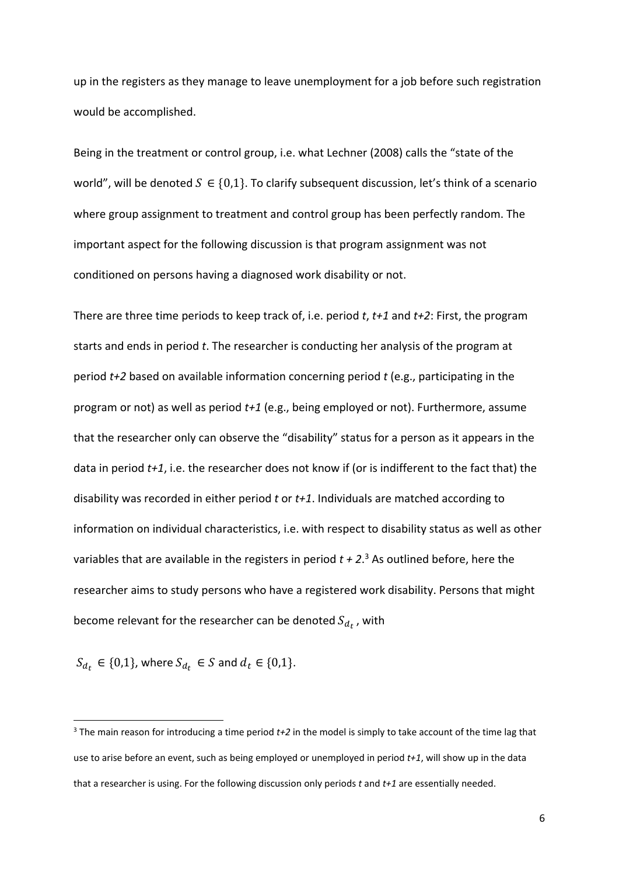up in the registers as they manage to leave unemployment for a job before such registration would be accomplished.

Being in the treatment or control group, i.e. what Lechner (2008) calls the "state of the world", will be denoted  $S \in \{0,1\}$ . To clarify subsequent discussion, let's think of a scenario where group assignment to treatment and control group has been perfectly random. The important aspect for the following discussion is that program assignment was not conditioned on persons having a diagnosed work disability or not.

There are three time periods to keep track of, i.e. period *t*, *t+1* and *t+2*: First, the program starts and ends in period *t*. The researcher is conducting her analysis of the program at period *t+2* based on available information concerning period *t* (e.g., participating in the program or not) as well as period *t+1* (e.g., being employed or not). Furthermore, assume that the researcher only can observe the "disability" status for a person as it appears in the data in period *t+1*, i.e. the researcher does not know if (or is indifferent to the fact that) the disability was recorded in either period *t* or *t+1*. Individuals are matched according to information on individual characteristics, i.e. with respect to disability status as well as other variables that are available in the registers in period *t + 2*. <sup>3</sup> As outlined before, here the researcher aims to study persons who have a registered work disability. Persons that might become relevant for the researcher can be denoted  $S_{d_t}$ , with

 $S_{d_t} \in \{0,1\}$ , where  $S_{d_t} \in S$  and  $d_t \in \{0,1\}$ .

<sup>3</sup> The main reason for introducing a time period *t+2* in the model is simply to take account of the time lag that use to arise before an event, such as being employed or unemployed in period *t+1*, will show up in the data that a researcher is using. For the following discussion only periods *t* and *t+1* are essentially needed.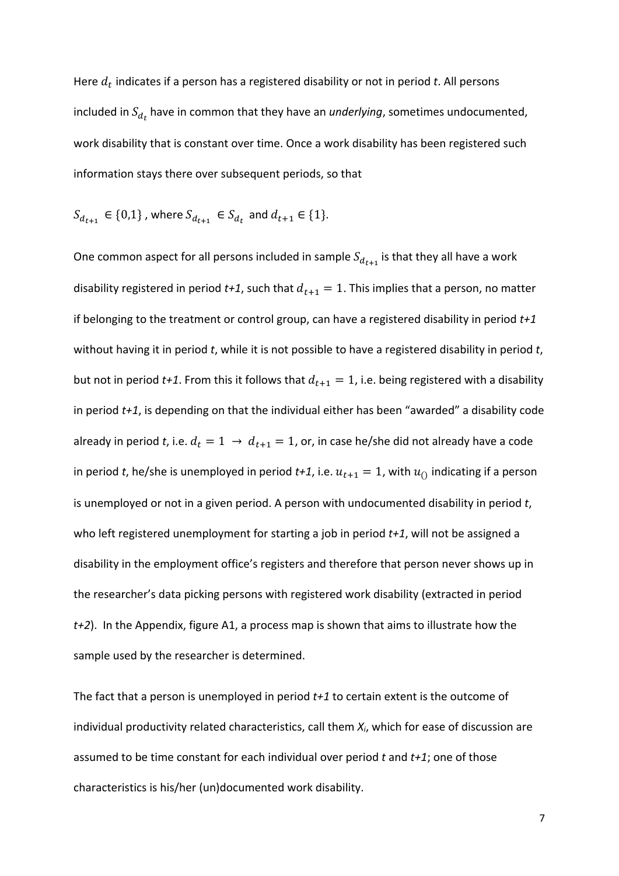Here  $d_t$  indicates if a person has a registered disability or not in period  $t$ . All persons included in  $S_{d_t}$  have in common that they have an *underlying*, sometimes undocumented, work disability that is constant over time. Once a work disability has been registered such information stays there over subsequent periods, so that

$$
S_{d_{t+1}} \in \{0,1\}
$$
, where  $S_{d_{t+1}} \in S_{d_t}$  and  $d_{t+1} \in \{1\}$ .

One common aspect for all persons included in sample  $S_{d_{t+1}}$  is that they all have a work disability registered in period  $t+1$ , such that  $d_{t+1} = 1$ . This implies that a person, no matter if belonging to the treatment or control group, can have a registered disability in period *t+1* without having it in period *t*, while it is not possible to have a registered disability in period *t*, but not in period  $t+1$ . From this it follows that  $d_{t+1} = 1$ , i.e. being registered with a disability in period *t+1*, is depending on that the individual either has been "awarded" a disability code already in period *t*, i.e.  $d_t = 1 \rightarrow d_{t+1} = 1$ , or, in case he/she did not already have a code in period *t*, he/she is unemployed in period  $t+1$ , i.e.  $u_{t+1} = 1$ , with  $u_0$  indicating if a person is unemployed or not in a given period. A person with undocumented disability in period *t*, who left registered unemployment for starting a job in period *t+1*, will not be assigned a disability in the employment office's registers and therefore that person never shows up in the researcher's data picking persons with registered work disability (extracted in period *t+2*). In the Appendix, figure A1, a process map is shown that aims to illustrate how the sample used by the researcher is determined.

The fact that a person is unemployed in period *t+1* to certain extent is the outcome of individual productivity related characteristics, call them *Xi*, which for ease of discussion are assumed to be time constant for each individual over period *t* and *t+1*; one of those characteristics is his/her (un)documented work disability.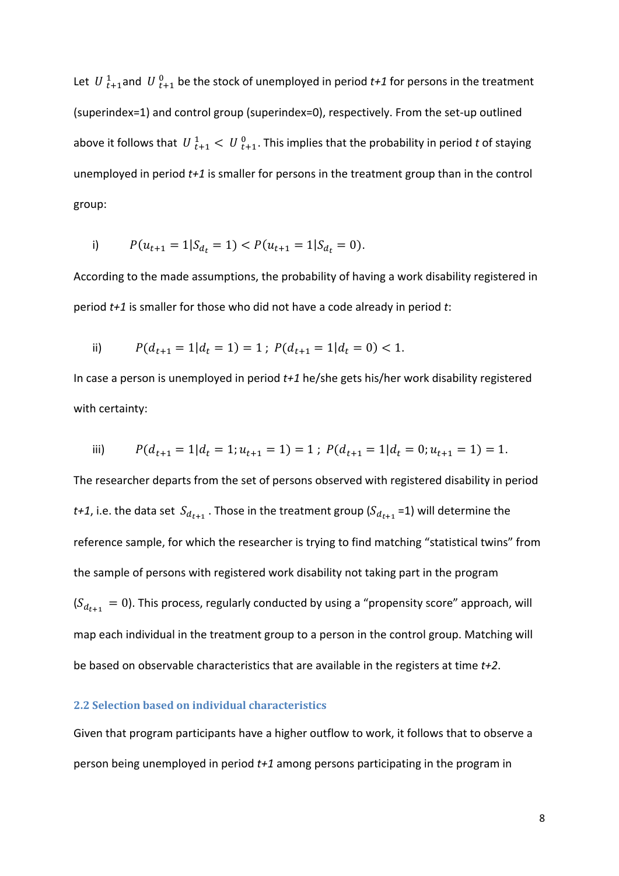Let  $\,U\,{}_{t+1}^1$ and  $\,U\,{}_{t+1}^0$  be the stock of unemployed in period  $t+1$  for persons in the treatment (superindex=1) and control group (superindex=0), respectively. From the set‐up outlined above it follows that  $|U|_{t+1}^1 < |U|_{t+1}^0$ . This implies that the probability in period t of staying unemployed in period *t+1* is smaller for persons in the treatment group than in the control group:

i) 
$$
P(u_{t+1} = 1 | S_{d_t} = 1) < P(u_{t+1} = 1 | S_{d_t} = 0).
$$

According to the made assumptions, the probability of having a work disability registered in period *t+1* is smaller for those who did not have a code already in period *t*:

ii) 
$$
P(d_{t+1} = 1 | d_t = 1) = 1
$$
;  $P(d_{t+1} = 1 | d_t = 0) < 1$ .

In case a person is unemployed in period *t+1* he/she gets his/her work disability registered with certainty:

iii) 
$$
P(d_{t+1} = 1 | d_t = 1; u_{t+1} = 1) = 1; P(d_{t+1} = 1 | d_t = 0; u_{t+1} = 1) = 1.
$$

The researcher departs from the set of persons observed with registered disability in period *t+1*, i.e. the data set  $S_{d_{t+1}}$ . Those in the treatment group ( $S_{d_{t+1}}$  =1) will determine the reference sample, for which the researcher is trying to find matching "statistical twins" from the sample of persons with registered work disability not taking part in the program  $(S_{d_{t+1}} = 0)$ . This process, regularly conducted by using a "propensity score" approach, will map each individual in the treatment group to a person in the control group. Matching will be based on observable characteristics that are available in the registers at time *t+2*.

#### **2.2 Selection based on individual characteristics**

Given that program participants have a higher outflow to work, it follows that to observe a person being unemployed in period *t+1* among persons participating in the program in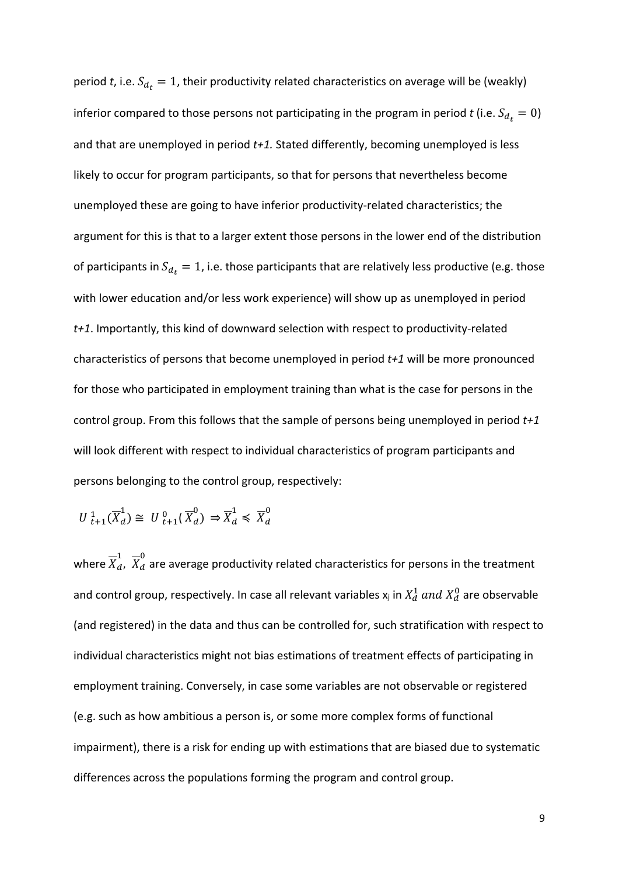period *t*, i.e.  $S_{d_t} = 1$ , their productivity related characteristics on average will be (weakly) inferior compared to those persons not participating in the program in period *t* (i.e.  $S_{d_t} = 0$ ) and that are unemployed in period *t+1.* Stated differently, becoming unemployed is less likely to occur for program participants, so that for persons that nevertheless become unemployed these are going to have inferior productivity‐related characteristics; the argument for this is that to a larger extent those persons in the lower end of the distribution of participants in  $S_{d_t} = 1$ , i.e. those participants that are relatively less productive (e.g. those with lower education and/or less work experience) will show up as unemployed in period *t+1*. Importantly, this kind of downward selection with respect to productivity‐related characteristics of persons that become unemployed in period *t+1* will be more pronounced for those who participated in employment training than what is the case for persons in the control group. From this follows that the sample of persons being unemployed in period *t+1* will look different with respect to individual characteristics of program participants and persons belonging to the control group, respectively:

$$
U^1_{t+1}(\overline{X}^1_d) \cong U^0_{t+1}(\overline{X}^0_d) \Rightarrow \overline{X}^1_d \leq \overline{X}^0_d
$$

where  $\overline{X}^1_d$ ,  $\overline{X}^0_d$  are average productivity related characteristics for persons in the treatment and control group, respectively. In case all relevant variables  $x_j$  in  $X_d^1$  and  $X_d^0$  are observable (and registered) in the data and thus can be controlled for, such stratification with respect to individual characteristics might not bias estimations of treatment effects of participating in employment training. Conversely, in case some variables are not observable or registered (e.g. such as how ambitious a person is, or some more complex forms of functional impairment), there is a risk for ending up with estimations that are biased due to systematic differences across the populations forming the program and control group.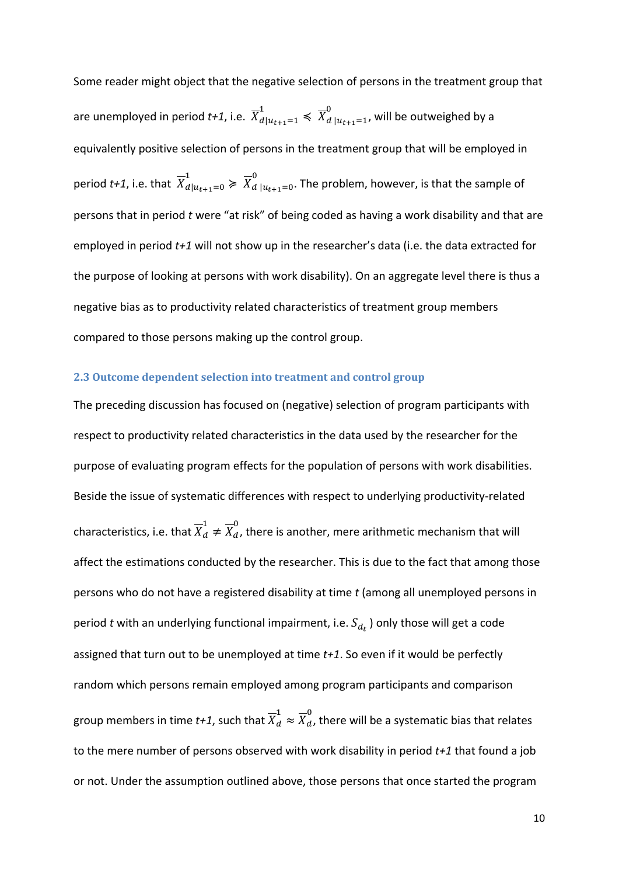Some reader might object that the negative selection of persons in the treatment group that are unemployed in period *t+1*, i.e.  $\overline{X}_{d|u_{t+1}=1}^1 \leqslant \overline{X}_{d|u_{t+1}=1}^0$ , will be outweighed by a equivalently positive selection of persons in the treatment group that will be employed in period *t+1*, i.e. that  $\overline{X}_{d|u_{t+1}=0}^{1} \geqslant \overline{X}_{d|u_{t+1}=0}^{0}$ . The problem, however, is that the sample of persons that in period *t* were "at risk" of being coded as having a work disability and that are employed in period *t+1* will not show up in the researcher's data (i.e. the data extracted for the purpose of looking at persons with work disability). On an aggregate level there is thus a negative bias as to productivity related characteristics of treatment group members compared to those persons making up the control group.

#### **2.3 Outcome dependent selection into treatment and control group**

The preceding discussion has focused on (negative) selection of program participants with respect to productivity related characteristics in the data used by the researcher for the purpose of evaluating program effects for the population of persons with work disabilities. Beside the issue of systematic differences with respect to underlying productivity-related characteristics, i.e. that  $\overline{X}_d^1\neq \overline{X}_d^0$ , there is another, mere arithmetic mechanism that will affect the estimations conducted by the researcher. This is due to the fact that among those persons who do not have a registered disability at time *t* (among all unemployed persons in period *t* with an underlying functional impairment, i.e.  $S_{d_t}$ ) only those will get a code assigned that turn out to be unemployed at time *t+1*. So even if it would be perfectly random which persons remain employed among program participants and comparison group members in time  $t$ +1, such that  $\overline{X}_{d}^{1}\approx\overline{X}_{d}^{0}$ , there will be a systematic bias that relates to the mere number of persons observed with work disability in period *t+1* that found a job or not. Under the assumption outlined above, those persons that once started the program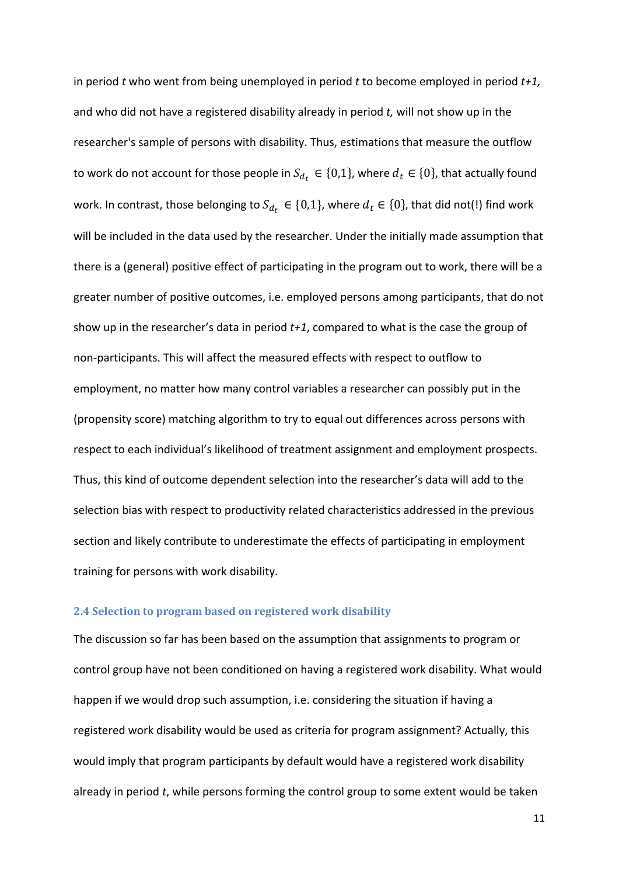in period *t* who went from being unemployed in period *t* to become employed in period *t+1,* and who did not have a registered disability already in period *t,* will not show up in the researcher's sample of persons with disability. Thus, estimations that measure the outflow to work do not account for those people in  $S_{d_t} \in \{0,1\}$ , where  $d_t \in \{0\}$ , that actually found work. In contrast, those belonging to  $S_{d_t} \in \{0,1\}$ , where  $d_t \in \{0\}$ , that did not(!) find work will be included in the data used by the researcher. Under the initially made assumption that there is a (general) positive effect of participating in the program out to work, there will be a greater number of positive outcomes, i.e. employed persons among participants, that do not show up in the researcher's data in period *t+1*, compared to what is the case the group of non‐participants. This will affect the measured effects with respect to outflow to employment, no matter how many control variables a researcher can possibly put in the (propensity score) matching algorithm to try to equal out differences across persons with respect to each individual's likelihood of treatment assignment and employment prospects. Thus, this kind of outcome dependent selection into the researcher's data will add to the selection bias with respect to productivity related characteristics addressed in the previous section and likely contribute to underestimate the effects of participating in employment training for persons with work disability.

#### **2.4 Selection to program based on registered work disability**

The discussion so far has been based on the assumption that assignments to program or control group have not been conditioned on having a registered work disability. What would happen if we would drop such assumption, i.e. considering the situation if having a registered work disability would be used as criteria for program assignment? Actually, this would imply that program participants by default would have a registered work disability already in period *t*, while persons forming the control group to some extent would be taken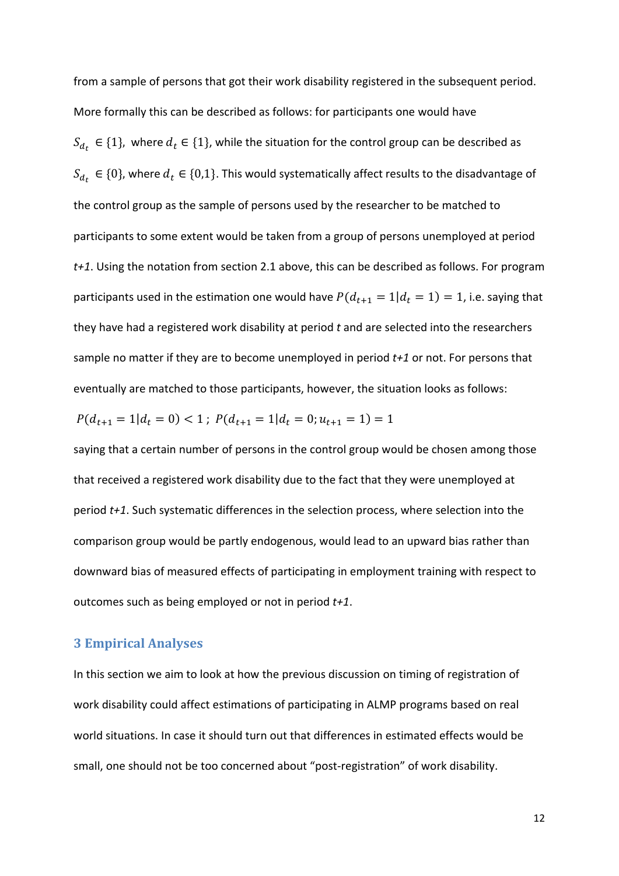from a sample of persons that got their work disability registered in the subsequent period. More formally this can be described as follows: for participants one would have  $S_{d_t} \in \{1\}$ , where  $d_t \in \{1\}$ , while the situation for the control group can be described as  $S_{d_t} \in \{0\}$ , where  $d_t \in \{0,1\}$ . This would systematically affect results to the disadvantage of the control group as the sample of persons used by the researcher to be matched to participants to some extent would be taken from a group of persons unemployed at period *t+1*. Using the notation from section 2.1 above, this can be described as follows. For program participants used in the estimation one would have  $P(d_{t+1} = 1|d_t = 1) = 1$ , i.e. saying that they have had a registered work disability at period *t* and are selected into the researchers sample no matter if they are to become unemployed in period *t+1* or not. For persons that eventually are matched to those participants, however, the situation looks as follows:

$$
P(d_{t+1} = 1 | d_t = 0) < 1 \, ; \, P(d_{t+1} = 1 | d_t = 0; u_{t+1} = 1) = 1
$$

saying that a certain number of persons in the control group would be chosen among those that received a registered work disability due to the fact that they were unemployed at period *t+1*. Such systematic differences in the selection process, where selection into the comparison group would be partly endogenous, would lead to an upward bias rather than downward bias of measured effects of participating in employment training with respect to outcomes such as being employed or not in period *t+1*.

#### **3 Empirical Analyses**

In this section we aim to look at how the previous discussion on timing of registration of work disability could affect estimations of participating in ALMP programs based on real world situations. In case it should turn out that differences in estimated effects would be small, one should not be too concerned about "post-registration" of work disability.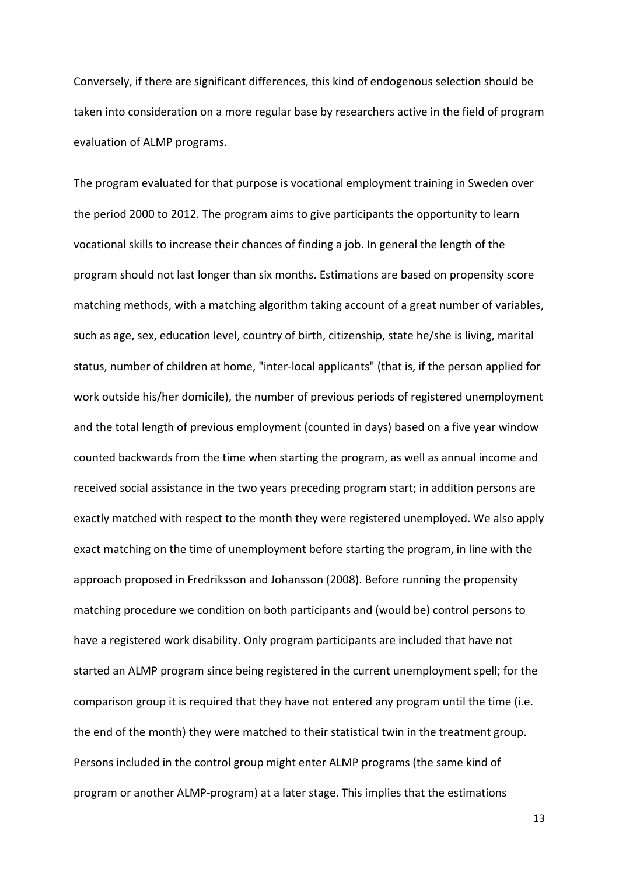Conversely, if there are significant differences, this kind of endogenous selection should be taken into consideration on a more regular base by researchers active in the field of program evaluation of ALMP programs.

The program evaluated for that purpose is vocational employment training in Sweden over the period 2000 to 2012. The program aims to give participants the opportunity to learn vocational skills to increase their chances of finding a job. In general the length of the program should not last longer than six months. Estimations are based on propensity score matching methods, with a matching algorithm taking account of a great number of variables, such as age, sex, education level, country of birth, citizenship, state he/she is living, marital status, number of children at home, "inter‐local applicants" (that is, if the person applied for work outside his/her domicile), the number of previous periods of registered unemployment and the total length of previous employment (counted in days) based on a five year window counted backwards from the time when starting the program, as well as annual income and received social assistance in the two years preceding program start; in addition persons are exactly matched with respect to the month they were registered unemployed. We also apply exact matching on the time of unemployment before starting the program, in line with the approach proposed in Fredriksson and Johansson (2008). Before running the propensity matching procedure we condition on both participants and (would be) control persons to have a registered work disability. Only program participants are included that have not started an ALMP program since being registered in the current unemployment spell; for the comparison group it is required that they have not entered any program until the time (i.e. the end of the month) they were matched to their statistical twin in the treatment group. Persons included in the control group might enter ALMP programs (the same kind of program or another ALMP‐program) at a later stage. This implies that the estimations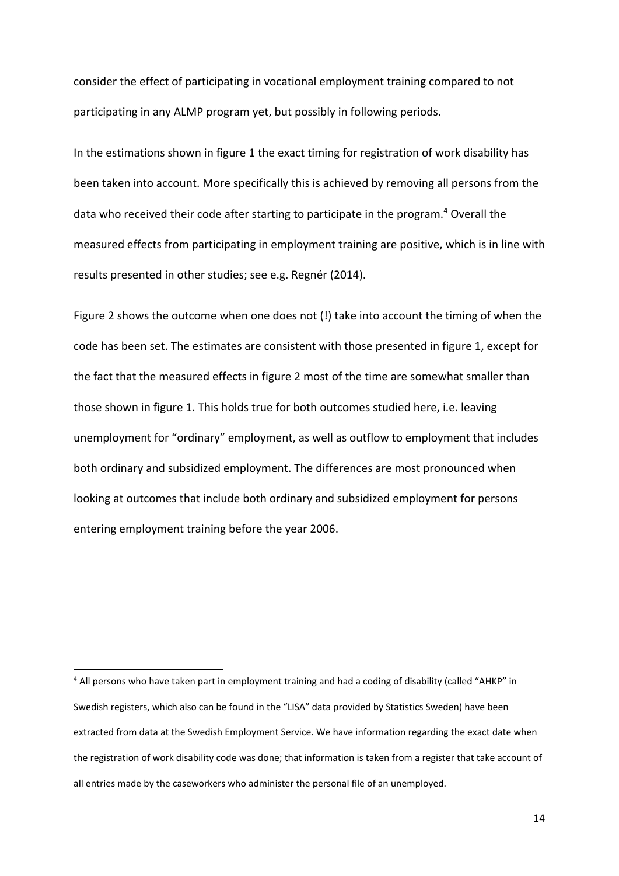consider the effect of participating in vocational employment training compared to not participating in any ALMP program yet, but possibly in following periods.

In the estimations shown in figure 1 the exact timing for registration of work disability has been taken into account. More specifically this is achieved by removing all persons from the data who received their code after starting to participate in the program.<sup>4</sup> Overall the measured effects from participating in employment training are positive, which is in line with results presented in other studies; see e.g. Regnér (2014).

Figure 2 shows the outcome when one does not (!) take into account the timing of when the code has been set. The estimates are consistent with those presented in figure 1, except for the fact that the measured effects in figure 2 most of the time are somewhat smaller than those shown in figure 1. This holds true for both outcomes studied here, i.e. leaving unemployment for "ordinary" employment, as well as outflow to employment that includes both ordinary and subsidized employment. The differences are most pronounced when looking at outcomes that include both ordinary and subsidized employment for persons entering employment training before the year 2006.

<sup>4</sup> All persons who have taken part in employment training and had a coding of disability (called "AHKP" in Swedish registers, which also can be found in the "LISA" data provided by Statistics Sweden) have been extracted from data at the Swedish Employment Service. We have information regarding the exact date when the registration of work disability code was done; that information is taken from a register that take account of all entries made by the caseworkers who administer the personal file of an unemployed.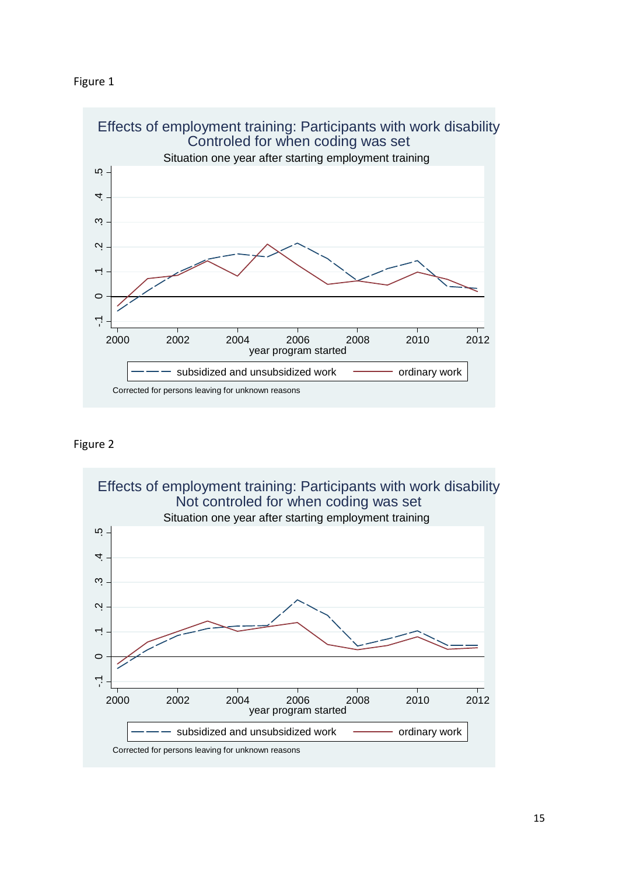



#### Figure 2

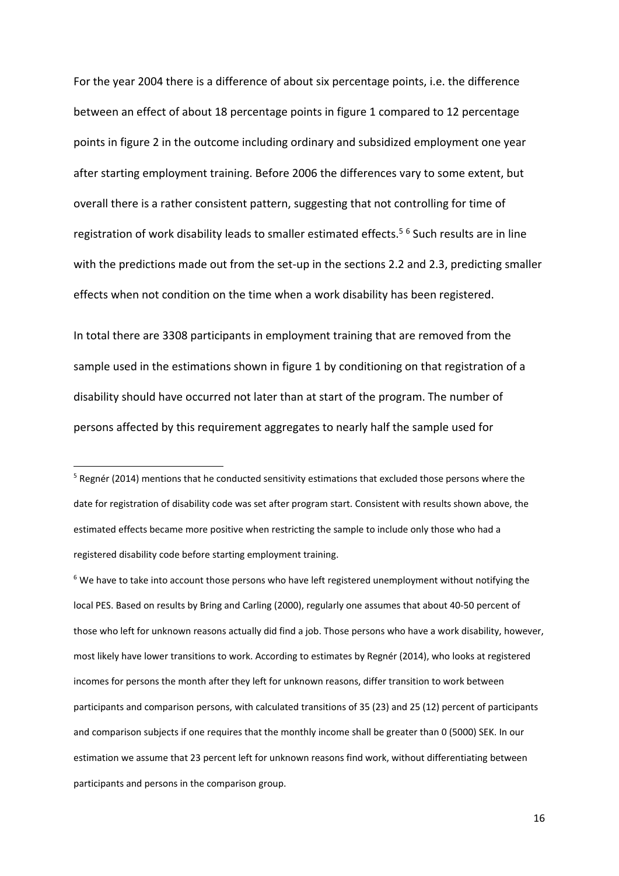For the year 2004 there is a difference of about six percentage points, i.e. the difference between an effect of about 18 percentage points in figure 1 compared to 12 percentage points in figure 2 in the outcome including ordinary and subsidized employment one year after starting employment training. Before 2006 the differences vary to some extent, but overall there is a rather consistent pattern, suggesting that not controlling for time of registration of work disability leads to smaller estimated effects.<sup>5 6</sup> Such results are in line with the predictions made out from the set-up in the sections 2.2 and 2.3, predicting smaller effects when not condition on the time when a work disability has been registered.

In total there are 3308 participants in employment training that are removed from the sample used in the estimations shown in figure 1 by conditioning on that registration of a disability should have occurred not later than at start of the program. The number of persons affected by this requirement aggregates to nearly half the sample used for

 $6$  We have to take into account those persons who have left registered unemployment without notifying the local PES. Based on results by Bring and Carling (2000), regularly one assumes that about 40‐50 percent of those who left for unknown reasons actually did find a job. Those persons who have a work disability, however, most likely have lower transitions to work. According to estimates by Regnér (2014), who looks at registered incomes for persons the month after they left for unknown reasons, differ transition to work between participants and comparison persons, with calculated transitions of 35 (23) and 25 (12) percent of participants and comparison subjects if one requires that the monthly income shall be greater than 0 (5000) SEK. In our estimation we assume that 23 percent left for unknown reasons find work, without differentiating between participants and persons in the comparison group.

<sup>&</sup>lt;sup>5</sup> Regnér (2014) mentions that he conducted sensitivity estimations that excluded those persons where the date for registration of disability code was set after program start. Consistent with results shown above, the estimated effects became more positive when restricting the sample to include only those who had a registered disability code before starting employment training.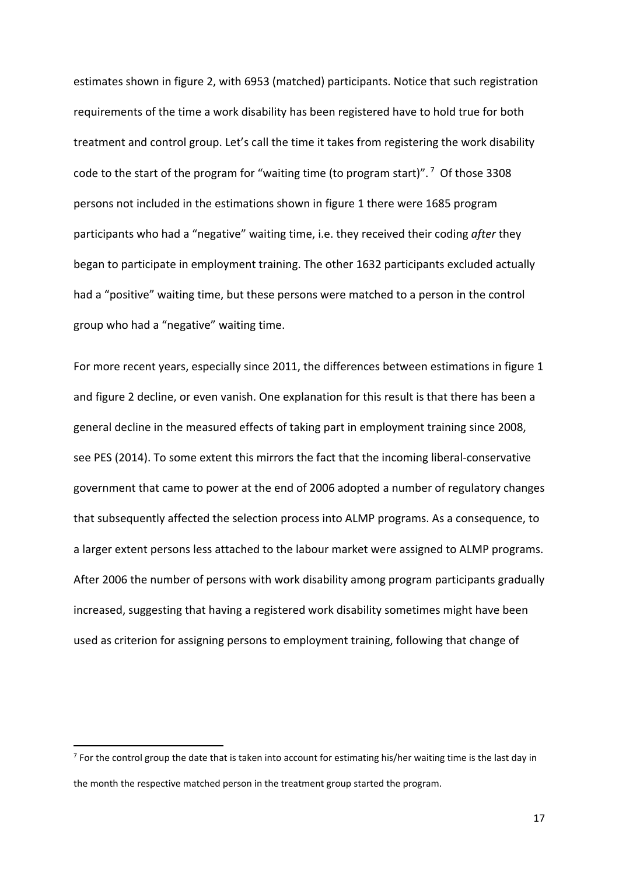estimates shown in figure 2, with 6953 (matched) participants. Notice that such registration requirements of the time a work disability has been registered have to hold true for both treatment and control group. Let's call the time it takes from registering the work disability code to the start of the program for "waiting time (to program start)". <sup>7</sup> Of those 3308 persons not included in the estimations shown in figure 1 there were 1685 program participants who had a "negative" waiting time, i.e. they received their coding *after* they began to participate in employment training. The other 1632 participants excluded actually had a "positive" waiting time, but these persons were matched to a person in the control group who had a "negative" waiting time.

For more recent years, especially since 2011, the differences between estimations in figure 1 and figure 2 decline, or even vanish. One explanation for this result is that there has been a general decline in the measured effects of taking part in employment training since 2008, see PES (2014). To some extent this mirrors the fact that the incoming liberal-conservative government that came to power at the end of 2006 adopted a number of regulatory changes that subsequently affected the selection process into ALMP programs. As a consequence, to a larger extent persons less attached to the labour market were assigned to ALMP programs. After 2006 the number of persons with work disability among program participants gradually increased, suggesting that having a registered work disability sometimes might have been used as criterion for assigning persons to employment training, following that change of

 $<sup>7</sup>$  For the control group the date that is taken into account for estimating his/her waiting time is the last day in</sup> the month the respective matched person in the treatment group started the program.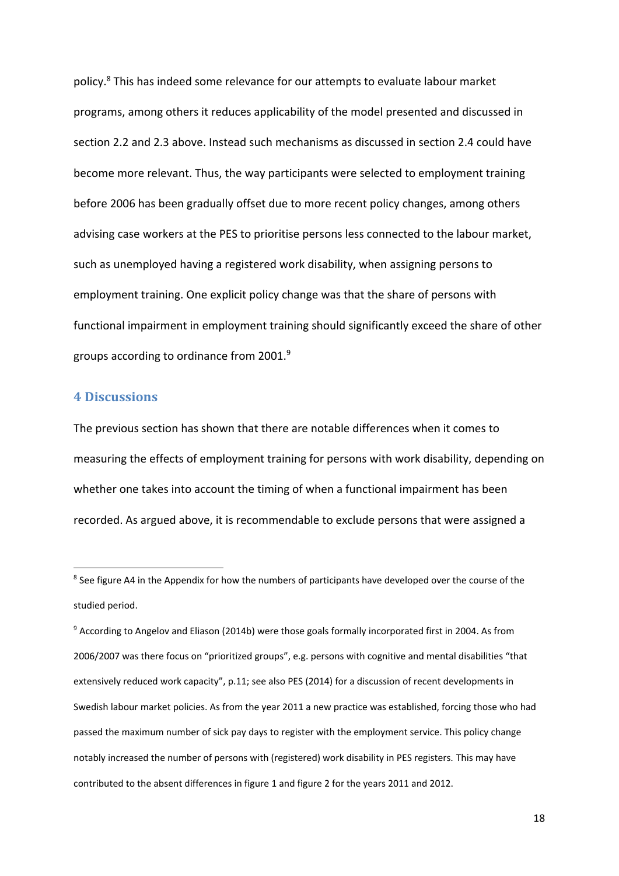policy.8 This has indeed some relevance for our attempts to evaluate labour market programs, among others it reduces applicability of the model presented and discussed in section 2.2 and 2.3 above. Instead such mechanisms as discussed in section 2.4 could have become more relevant. Thus, the way participants were selected to employment training before 2006 has been gradually offset due to more recent policy changes, among others advising case workers at the PES to prioritise persons less connected to the labour market, such as unemployed having a registered work disability, when assigning persons to employment training. One explicit policy change was that the share of persons with functional impairment in employment training should significantly exceed the share of other groups according to ordinance from 2001.9

#### **4 Discussions**

The previous section has shown that there are notable differences when it comes to measuring the effects of employment training for persons with work disability, depending on whether one takes into account the timing of when a functional impairment has been recorded. As argued above, it is recommendable to exclude persons that were assigned a

<sup>&</sup>lt;sup>8</sup> See figure A4 in the Appendix for how the numbers of participants have developed over the course of the studied period.

<sup>9</sup> According to Angelov and Eliason (2014b) were those goals formally incorporated first in 2004. As from 2006/2007 was there focus on "prioritized groups", e.g. persons with cognitive and mental disabilities "that extensively reduced work capacity", p.11; see also PES (2014) for a discussion of recent developments in Swedish labour market policies. As from the year 2011 a new practice was established, forcing those who had passed the maximum number of sick pay days to register with the employment service. This policy change notably increased the number of persons with (registered) work disability in PES registers. This may have contributed to the absent differences in figure 1 and figure 2 for the years 2011 and 2012.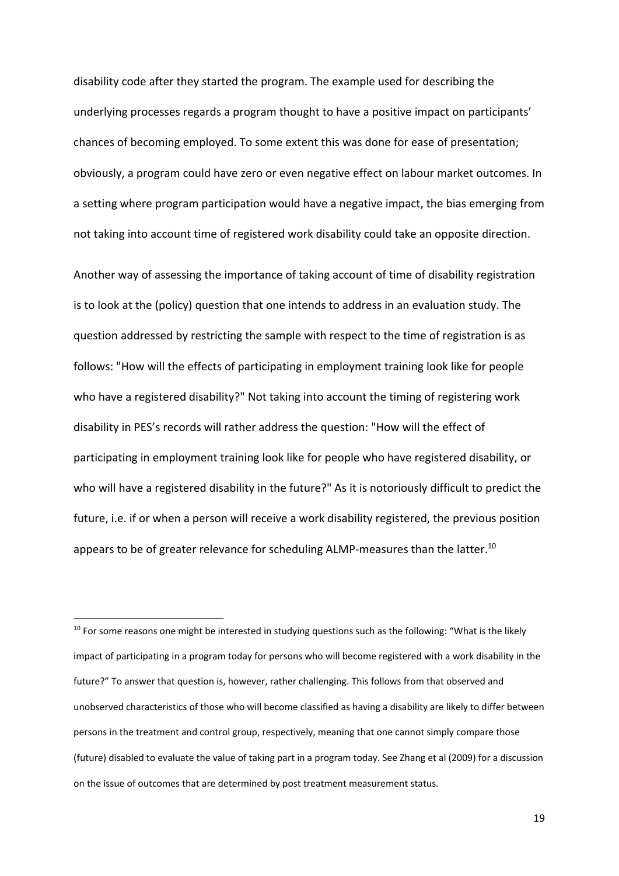disability code after they started the program. The example used for describing the underlying processes regards a program thought to have a positive impact on participants' chances of becoming employed. To some extent this was done for ease of presentation; obviously, a program could have zero or even negative effect on labour market outcomes. In a setting where program participation would have a negative impact, the bias emerging from not taking into account time of registered work disability could take an opposite direction.

Another way of assessing the importance of taking account of time of disability registration is to look at the (policy) question that one intends to address in an evaluation study. The question addressed by restricting the sample with respect to the time of registration is as follows: "How will the effects of participating in employment training look like for people who have a registered disability?" Not taking into account the timing of registering work disability in PES's records will rather address the question: "How will the effect of participating in employment training look like for people who have registered disability, or who will have a registered disability in the future?" As it is notoriously difficult to predict the future, i.e. if or when a person will receive a work disability registered, the previous position appears to be of greater relevance for scheduling ALMP-measures than the latter.<sup>10</sup>

 $10$  For some reasons one might be interested in studying questions such as the following: "What is the likely impact of participating in a program today for persons who will become registered with a work disability in the future?" To answer that question is, however, rather challenging. This follows from that observed and unobserved characteristics of those who will become classified as having a disability are likely to differ between persons in the treatment and control group, respectively, meaning that one cannot simply compare those (future) disabled to evaluate the value of taking part in a program today. See Zhang et al (2009) for a discussion on the issue of outcomes that are determined by post treatment measurement status.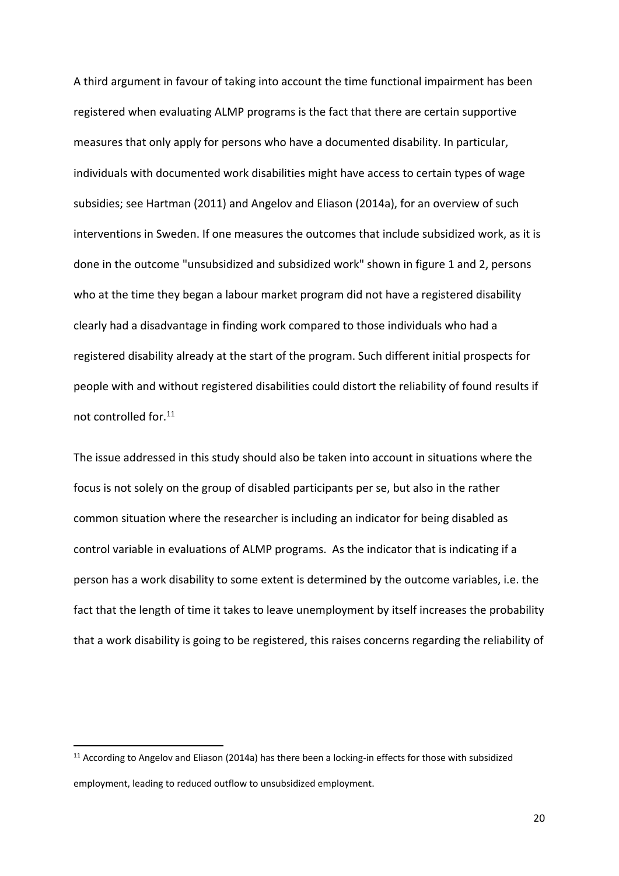A third argument in favour of taking into account the time functional impairment has been registered when evaluating ALMP programs is the fact that there are certain supportive measures that only apply for persons who have a documented disability. In particular, individuals with documented work disabilities might have access to certain types of wage subsidies; see Hartman (2011) and Angelov and Eliason (2014a), for an overview of such interventions in Sweden. If one measures the outcomes that include subsidized work, as it is done in the outcome "unsubsidized and subsidized work" shown in figure 1 and 2, persons who at the time they began a labour market program did not have a registered disability clearly had a disadvantage in finding work compared to those individuals who had a registered disability already at the start of the program. Such different initial prospects for people with and without registered disabilities could distort the reliability of found results if not controlled for.11

The issue addressed in this study should also be taken into account in situations where the focus is not solely on the group of disabled participants per se, but also in the rather common situation where the researcher is including an indicator for being disabled as control variable in evaluations of ALMP programs. As the indicator that is indicating if a person has a work disability to some extent is determined by the outcome variables, i.e. the fact that the length of time it takes to leave unemployment by itself increases the probability that a work disability is going to be registered, this raises concerns regarding the reliability of

<sup>&</sup>lt;sup>11</sup> According to Angelov and Eliason (2014a) has there been a locking-in effects for those with subsidized employment, leading to reduced outflow to unsubsidized employment.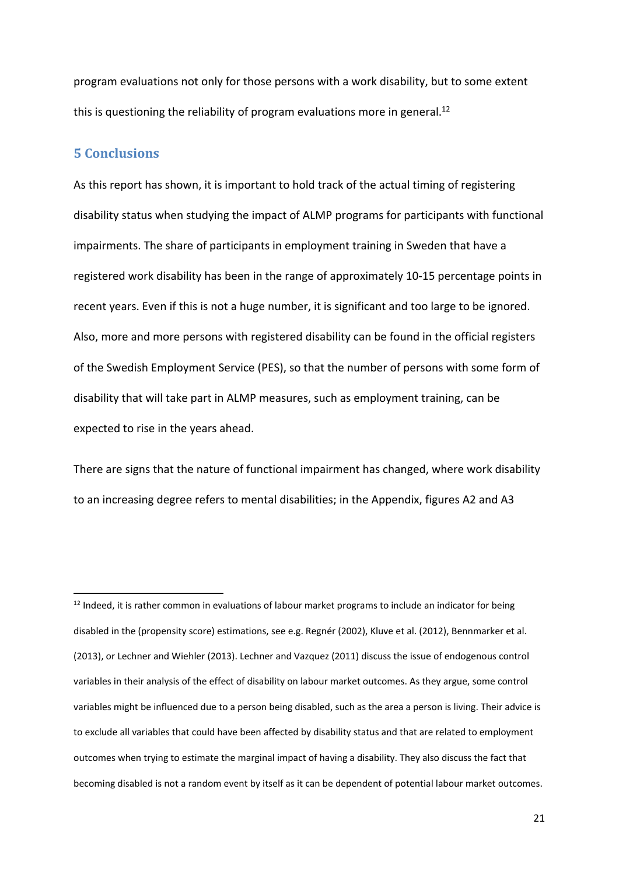program evaluations not only for those persons with a work disability, but to some extent this is questioning the reliability of program evaluations more in general.<sup>12</sup>

#### **5 Conclusions**

As this report has shown, it is important to hold track of the actual timing of registering disability status when studying the impact of ALMP programs for participants with functional impairments. The share of participants in employment training in Sweden that have a registered work disability has been in the range of approximately 10‐15 percentage points in recent years. Even if this is not a huge number, it is significant and too large to be ignored. Also, more and more persons with registered disability can be found in the official registers of the Swedish Employment Service (PES), so that the number of persons with some form of disability that will take part in ALMP measures, such as employment training, can be expected to rise in the years ahead.

There are signs that the nature of functional impairment has changed, where work disability to an increasing degree refers to mental disabilities; in the Appendix, figures A2 and A3

<sup>&</sup>lt;sup>12</sup> Indeed, it is rather common in evaluations of labour market programs to include an indicator for being disabled in the (propensity score) estimations, see e.g. Regnér (2002), Kluve et al. (2012), Bennmarker et al. (2013), or Lechner and Wiehler (2013). Lechner and Vazquez (2011) discuss the issue of endogenous control variables in their analysis of the effect of disability on labour market outcomes. As they argue, some control variables might be influenced due to a person being disabled, such as the area a person is living. Their advice is to exclude all variables that could have been affected by disability status and that are related to employment outcomes when trying to estimate the marginal impact of having a disability. They also discuss the fact that becoming disabled is not a random event by itself as it can be dependent of potential labour market outcomes.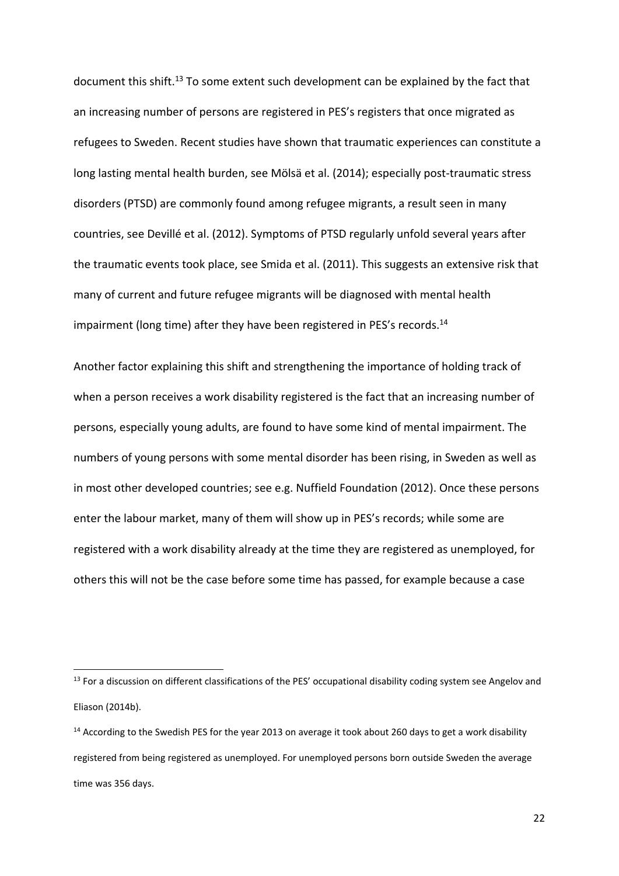document this shift.<sup>13</sup> To some extent such development can be explained by the fact that an increasing number of persons are registered in PES's registers that once migrated as refugees to Sweden. Recent studies have shown that traumatic experiences can constitute a long lasting mental health burden, see Mölsä et al. (2014); especially post‐traumatic stress disorders (PTSD) are commonly found among refugee migrants, a result seen in many countries, see Devillé et al. (2012). Symptoms of PTSD regularly unfold several years after the traumatic events took place, see Smida et al. (2011). This suggests an extensive risk that many of current and future refugee migrants will be diagnosed with mental health impairment (long time) after they have been registered in PES's records.<sup>14</sup>

Another factor explaining this shift and strengthening the importance of holding track of when a person receives a work disability registered is the fact that an increasing number of persons, especially young adults, are found to have some kind of mental impairment. The numbers of young persons with some mental disorder has been rising, in Sweden as well as in most other developed countries; see e.g. Nuffield Foundation (2012). Once these persons enter the labour market, many of them will show up in PES's records; while some are registered with a work disability already at the time they are registered as unemployed, for others this will not be the case before some time has passed, for example because a case

<sup>&</sup>lt;sup>13</sup> For a discussion on different classifications of the PES' occupational disability coding system see Angelov and Eliason (2014b).

<sup>&</sup>lt;sup>14</sup> According to the Swedish PES for the year 2013 on average it took about 260 days to get a work disability registered from being registered as unemployed. For unemployed persons born outside Sweden the average time was 356 days.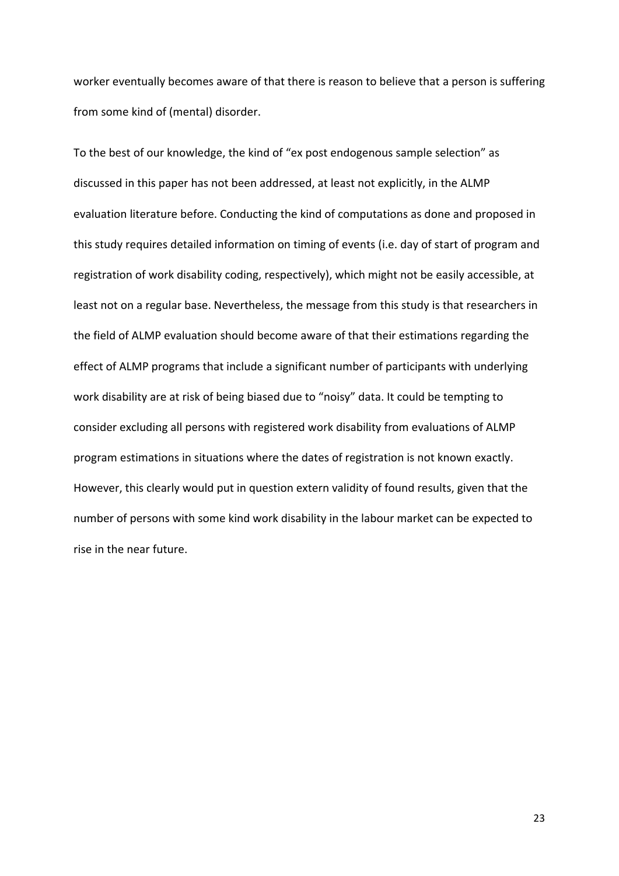worker eventually becomes aware of that there is reason to believe that a person is suffering from some kind of (mental) disorder.

To the best of our knowledge, the kind of "ex post endogenous sample selection" as discussed in this paper has not been addressed, at least not explicitly, in the ALMP evaluation literature before. Conducting the kind of computations as done and proposed in this study requires detailed information on timing of events (i.e. day of start of program and registration of work disability coding, respectively), which might not be easily accessible, at least not on a regular base. Nevertheless, the message from this study is that researchers in the field of ALMP evaluation should become aware of that their estimations regarding the effect of ALMP programs that include a significant number of participants with underlying work disability are at risk of being biased due to "noisy" data. It could be tempting to consider excluding all persons with registered work disability from evaluations of ALMP program estimations in situations where the dates of registration is not known exactly. However, this clearly would put in question extern validity of found results, given that the number of persons with some kind work disability in the labour market can be expected to rise in the near future.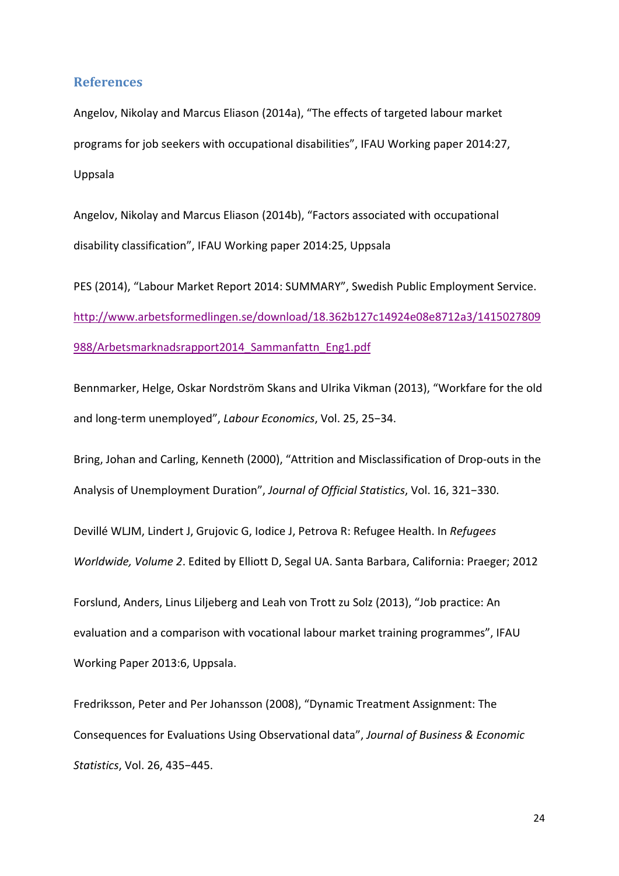#### **References**

Angelov, Nikolay and Marcus Eliason (2014a), "The effects of targeted labour market programs for job seekers with occupational disabilities", IFAU Working paper 2014:27, Uppsala

Angelov, Nikolay and Marcus Eliason (2014b), "Factors associated with occupational disability classification", IFAU Working paper 2014:25, Uppsala

PES (2014), "Labour Market Report 2014: SUMMARY", Swedish Public Employment Service. http://www.arbetsformedlingen.se/download/18.362b127c14924e08e8712a3/1415027809 988/Arbetsmarknadsrapport2014\_Sammanfattn\_Eng1.pdf

Bennmarker, Helge, Oskar Nordström Skans and Ulrika Vikman (2013), "Workfare for the old and long‐term unemployed", *Labour Economics*, Vol. 25, 25−34.

Bring, Johan and Carling, Kenneth (2000), "Attrition and Misclassification of Drop‐outs in the Analysis of Unemployment Duration", *Journal of Official Statistics*, Vol. 16, 321−330.

Devillé WLJM, Lindert J, Grujovic G, Iodice J, Petrova R: Refugee Health. In *Refugees Worldwide, Volume 2*. Edited by Elliott D, Segal UA. Santa Barbara, California: Praeger; 2012

Forslund, Anders, Linus Liljeberg and Leah von Trott zu Solz (2013), "Job practice: An evaluation and a comparison with vocational labour market training programmes", IFAU Working Paper 2013:6, Uppsala.

Fredriksson, Peter and Per Johansson (2008), "Dynamic Treatment Assignment: The Consequences for Evaluations Using Observational data", *Journal of Business & Economic Statistics*, Vol. 26, 435−445.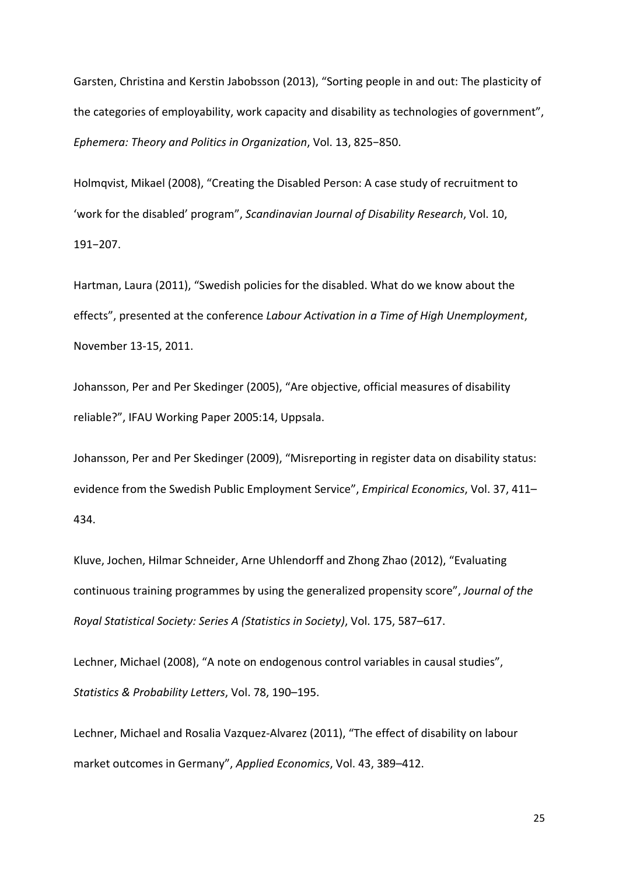Garsten, Christina and Kerstin Jabobsson (2013), "Sorting people in and out: The plasticity of the categories of employability, work capacity and disability as technologies of government", *Ephemera: Theory and Politics in Organization*, Vol. 13, 825−850.

Holmqvist, Mikael (2008), "Creating the Disabled Person: A case study of recruitment to 'work for the disabled' program", *Scandinavian Journal of Disability Research*, Vol. 10, 191−207.

Hartman, Laura (2011), "Swedish policies for the disabled. What do we know about the effects", presented at the conference *Labour Activation in a Time of High Unemployment*, November 13‐15, 2011.

Johansson, Per and Per Skedinger (2005), "Are objective, official measures of disability reliable?", IFAU Working Paper 2005:14, Uppsala.

Johansson, Per and Per Skedinger (2009), "Misreporting in register data on disability status: evidence from the Swedish Public Employment Service", *Empirical Economics*, Vol. 37, 411– 434.

Kluve, Jochen, Hilmar Schneider, Arne Uhlendorff and Zhong Zhao (2012), "Evaluating continuous training programmes by using the generalized propensity score", *Journal of the Royal Statistical Society: Series A (Statistics in Society)*, Vol. 175, 587–617.

Lechner, Michael (2008), "A note on endogenous control variables in causal studies", *Statistics & Probability Letters*, Vol. 78, 190–195.

Lechner, Michael and Rosalia Vazquez‐Alvarez (2011), "The effect of disability on labour market outcomes in Germany", *Applied Economics*, Vol. 43, 389–412.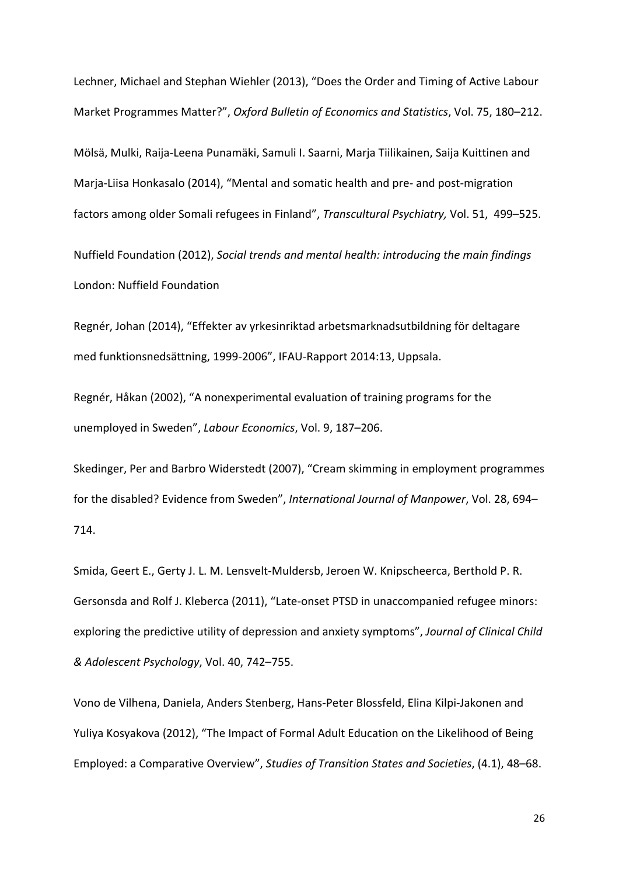Lechner, Michael and Stephan Wiehler (2013), "Does the Order and Timing of Active Labour Market Programmes Matter?", *Oxford Bulletin of Economics and Statistics*, Vol. 75, 180–212.

Mölsä, Mulki, Raija‐Leena Punamäki, Samuli I. Saarni, Marja Tiilikainen, Saija Kuittinen and Marja‐Liisa Honkasalo (2014), "Mental and somatic health and pre‐ and post‐migration factors among older Somali refugees in Finland", *Transcultural Psychiatry,* Vol. 51, 499–525.

Nuffield Foundation (2012), *Social trends and mental health: introducing the main findings* London: Nuffield Foundation

Regnér, Johan (2014), "Effekter av yrkesinriktad arbetsmarknadsutbildning för deltagare med funktionsnedsättning, 1999‐2006", IFAU‐Rapport 2014:13, Uppsala.

Regnér, Håkan (2002), "A nonexperimental evaluation of training programs for the unemployed in Sweden", *Labour Economics*, Vol. 9, 187–206.

Skedinger, Per and Barbro Widerstedt (2007), "Cream skimming in employment programmes for the disabled? Evidence from Sweden", *International Journal of Manpower*, Vol. 28, 694– 714.

Smida, Geert E., Gerty J. L. M. Lensvelt‐Muldersb, Jeroen W. Knipscheerca, Berthold P. R. Gersonsda and Rolf J. Kleberca (2011), "Late‐onset PTSD in unaccompanied refugee minors: exploring the predictive utility of depression and anxiety symptoms", *Journal of Clinical Child & Adolescent Psychology*, Vol. 40, 742–755.

Vono de Vilhena, Daniela, Anders Stenberg, Hans‐Peter Blossfeld, Elina Kilpi‐Jakonen and Yuliya Kosyakova (2012), "The Impact of Formal Adult Education on the Likelihood of Being Employed: a Comparative Overview", *Studies of Transition States and Societies*, (4.1), 48–68.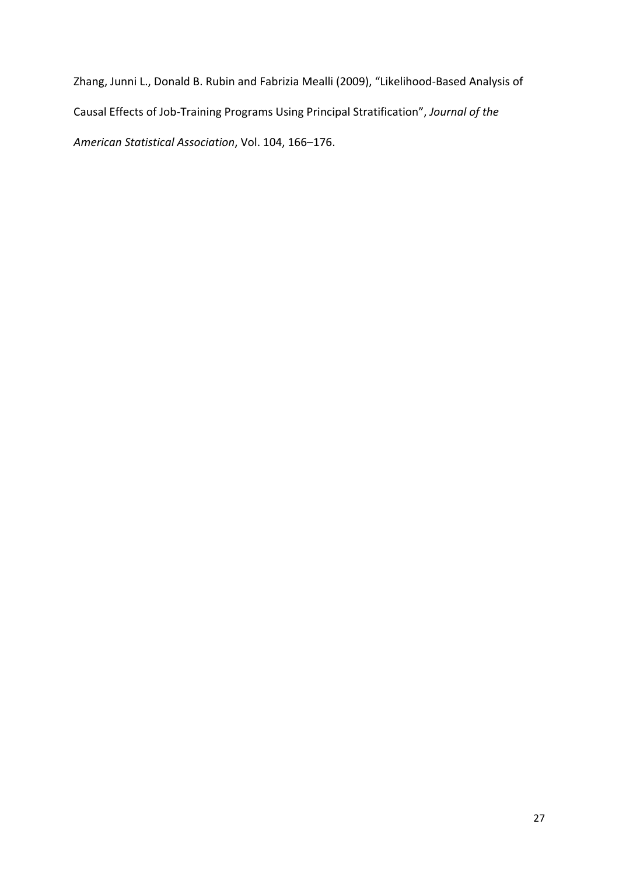Zhang, Junni L., Donald B. Rubin and Fabrizia Mealli (2009), "Likelihood‐Based Analysis of Causal Effects of Job‐Training Programs Using Principal Stratification", *Journal of the American Statistical Association*, Vol. 104, 166–176.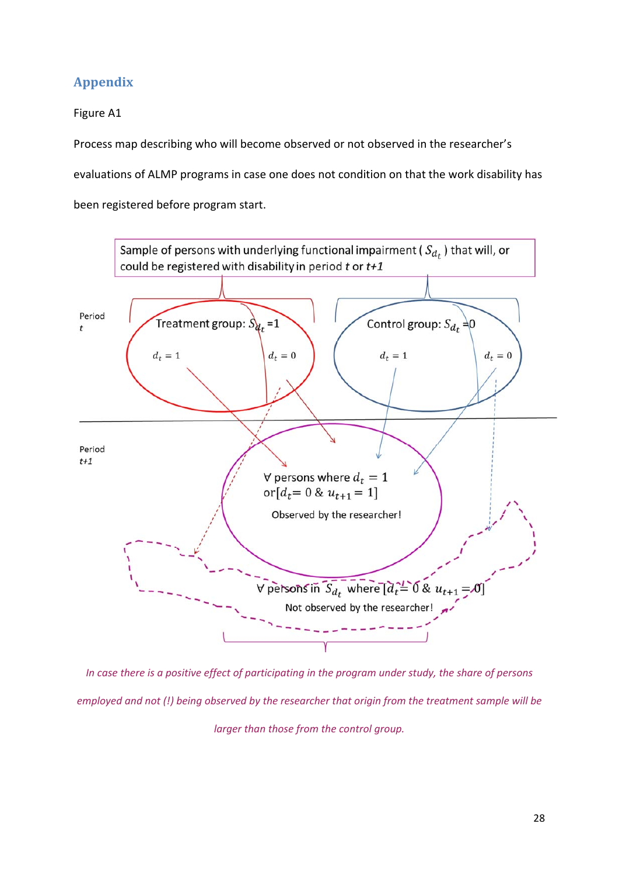## **Appendix**

Figure A1

Process map describing who will become observed or not observed in the researcher's

evaluations of ALMP programs in case one does not condition on that the work disability has

been registered before program start.



In case there is a positive effect of participating in the program under study, the share of persons *employed and not (!) being observed by the researcher that origin from the treatment sample will be larger than those from the control group.*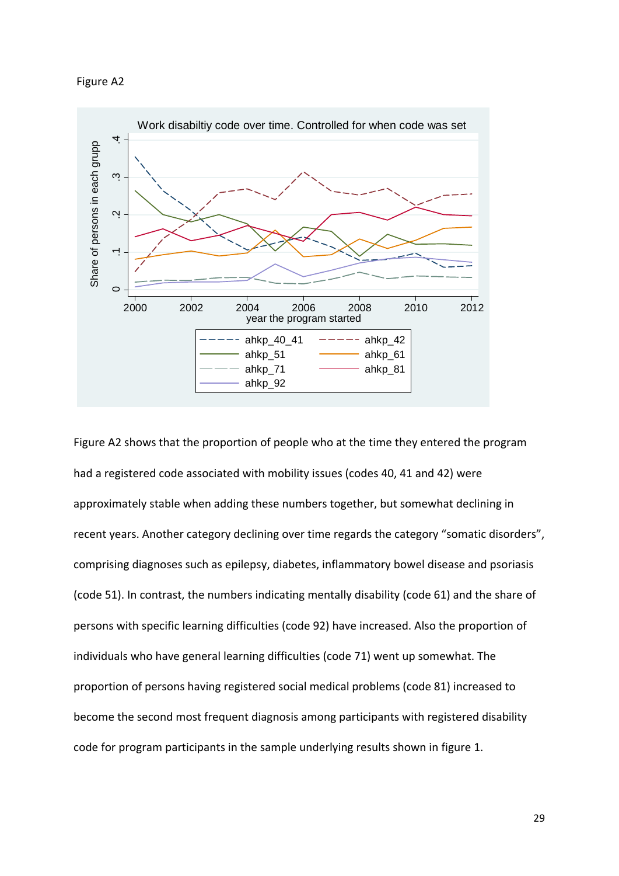#### Figure A2



Figure A2 shows that the proportion of people who at the time they entered the program had a registered code associated with mobility issues (codes 40, 41 and 42) were approximately stable when adding these numbers together, but somewhat declining in recent years. Another category declining over time regards the category "somatic disorders", comprising diagnoses such as epilepsy, diabetes, inflammatory bowel disease and psoriasis (code 51). In contrast, the numbers indicating mentally disability (code 61) and the share of persons with specific learning difficulties (code 92) have increased. Also the proportion of individuals who have general learning difficulties (code 71) went up somewhat. The proportion of persons having registered social medical problems (code 81) increased to become the second most frequent diagnosis among participants with registered disability code for program participants in the sample underlying results shown in figure 1.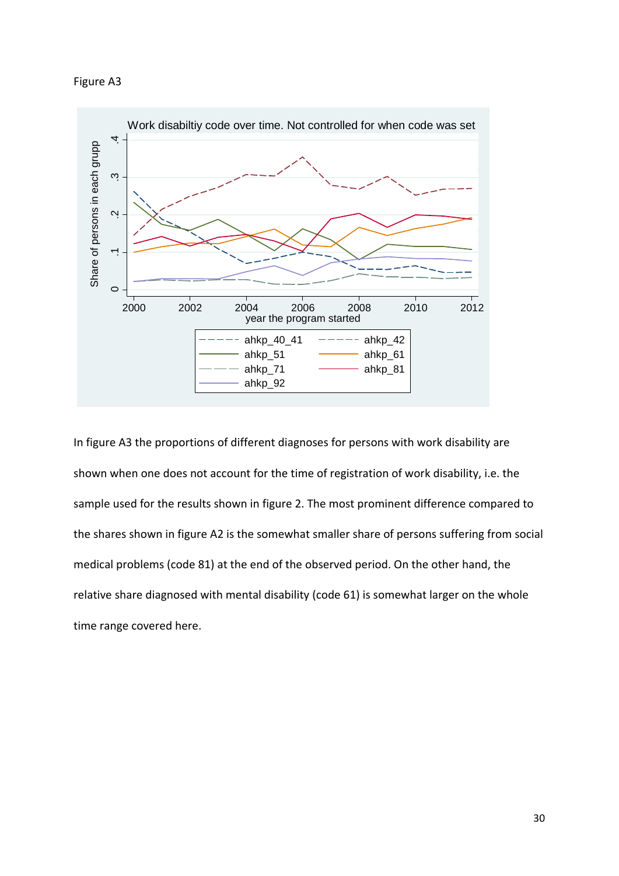



In figure A3 the proportions of different diagnoses for persons with work disability are shown when one does not account for the time of registration of work disability, i.e. the sample used for the results shown in figure 2. The most prominent difference compared to the shares shown in figure A2 is the somewhat smaller share of persons suffering from social medical problems (code 81) at the end of the observed period. On the other hand, the relative share diagnosed with mental disability (code 61) is somewhat larger on the whole time range covered here.